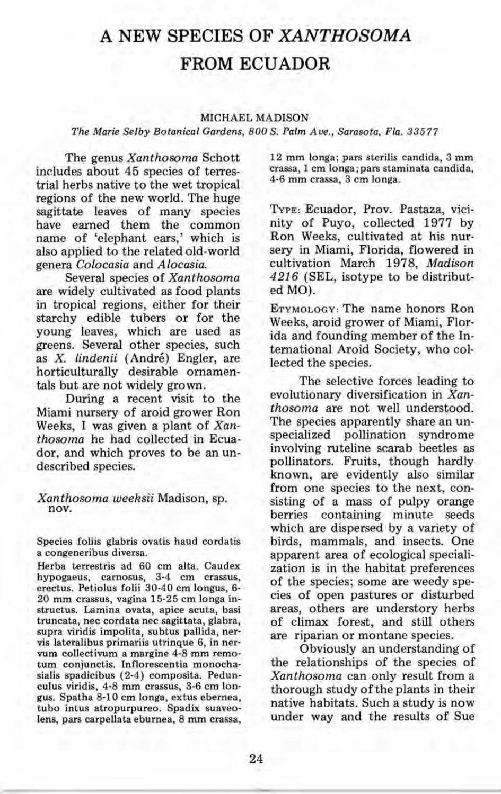## **A NEW SPECIES OF** *XANTHOSOMA*  **FROM ECUADOR**

## MICHAEL MADISON

*The Marie Selby Botanical Gardens, 800* S. *Palm Ave., Sarasota, Fla. 33577* 

The genus *Xanthosoma* Schott includes about 45 species of terrestrial herbs native to the wet tropical regions of the new world. The huge sagittate leaves of many species have earned them the common name of 'elephant ears,' which is also applied to the related old-world genera *Colocasia* and *Alocasia.* 

Several species of *Xanthosoma*  are widely cultivated as food plants in tropical regions, either for their starchy edible tubers or for the young leaves, which are used as greens. Several other species, such as *X. lindenii* (Andre) Engler, are horticulturally desirable ornamentals but are not widely grown.

During a recent visit to the Miami nursery of aroid grower Ron Weeks, I was given a plant of *Xanthosoma* he had collected in Ecuador, and which proves to be an undescribed species.

*Xanthosoma weeksii* Madison, sp. nov.

Species foliis glabris ovatis haud cordatis a congeneribus diversa.

Herba terrestris ad 60 cm alta. Caudex hypogaeus, carnosus, 3-4 cm crassus, erectus. Petiolus folii 30-40 cm longus, 6- 20 mm crassus, vagina 15-25 cm longa instructus. Lamina ovata, apice acuta, basi truncata, nec cordata nec sagittata, glabra, supra viridis impolita, subtus pallida, nervis lateralibus primariis utrinque 6, in nervum collectivum a margine 4-8 mm remotum conjunctis. Inflorescentia monochasialis spadicibus (2-4) composita. Pedunculus viridis, 4-8 mm crassus, 3-6 cm longus. Spatha 8-10 cm longa, extus ebernea, tubo intus atropurpureo. Spadix suaveolens, pars carpellata eburnea, 8 mm crassa,

12 mm longa; pars sterilis candida, 3 mm crassa, 1 cm longa ; pars staminata candida, 4-6 mm crassa, 3 cm longa.

TYPE: Ecuador, Prov. Pastaza, vicinity of Puyo, collected 1977 by Ron Weeks, cultivated at his nursery in Miami, Florida, flowered in cultivation March 1978, *Madison*  4216 (SEL, isotype to be distributed MO).

ETYMOLOGY: The name honors Ron Weeks, aroid grower of Miami, Florida and founding member of the International Aroid Society, who collected the species.

The selective forces leading to evolutionary diversification in *Xanthosoma* are not well understood. The species apparently share an unspecialized pollination syndrome involving ruteline scarab beetles as pollinators. Fruits, though hardly known, are evidently also similar from one species to the next, consisting of a mass of pulpy orange berries containing minute seeds which are dispersed by a variety of birds, mammals, and insects. One apparent area of ecological specialization is in the habitat preferences of the species; some are weedy species of open pastures or disturbed areas, others are understory herbs of climax forest, and still others are riparian or montane species.

Obviously an understanding of the relationships of the species of *Xanthosoma* can only result from a thorough study of the plants in their native habitats. Such a study is now under way and the results of Sue